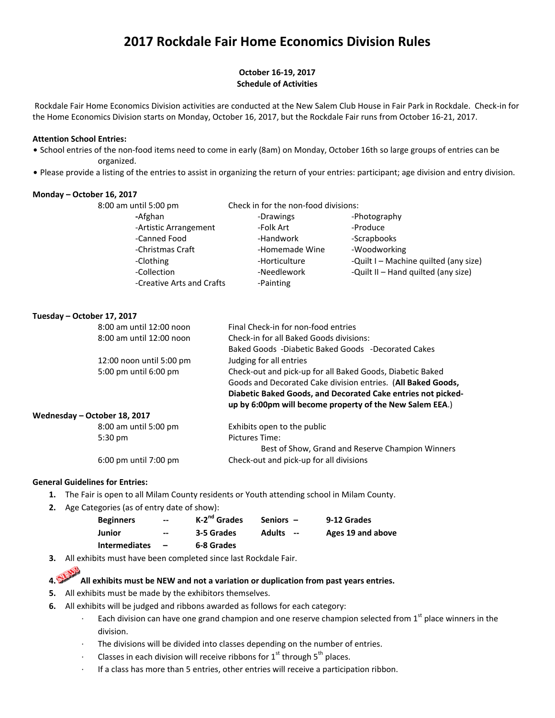# **2017 Rockdale Fair Home Economics Division Rules**

### **October 16‐19, 2017 Schedule of Activities**

 Rockdale Fair Home Economics Division activities are conducted at the New Salem Club House in Fair Park in Rockdale. Check‐in for the Home Economics Division starts on Monday, October 16, 2017, but the Rockdale Fair runs from October 16‐21, 2017.

### **Attention School Entries:**

- School entries of the non-food items need to come in early (8am) on Monday, October 16th so large groups of entries can be organized.
- . Please provide a listing of the entries to assist in organizing the return of your entries: participant; age division and entry division.

#### **Monday – October 16, 2017**

| 8:00 am until 5:00 pm     | Check in for the non-food divisions: |                                       |  |
|---------------------------|--------------------------------------|---------------------------------------|--|
| -Afghan                   | -Drawings                            | -Photography                          |  |
| -Artistic Arrangement     | -Folk Art                            | -Produce                              |  |
| -Canned Food              | -Handwork                            | -Scrapbooks                           |  |
| -Christmas Craft          | -Homemade Wine                       | -Woodworking                          |  |
| -Clothing                 | -Horticulture                        | -Quilt I - Machine quilted (any size) |  |
| -Collection               | -Needlework                          | -Quilt II - Hand quilted (any size)   |  |
| -Creative Arts and Crafts | -Painting                            |                                       |  |

#### **Tuesday – October 17, 2017**

|                          | 8:00 am until 12:00 noon                                  | Final Check-in for non-food entries                          |
|--------------------------|-----------------------------------------------------------|--------------------------------------------------------------|
| 8:00 am until 12:00 noon |                                                           | Check-in for all Baked Goods divisions:                      |
|                          |                                                           | Baked Goods -Diabetic Baked Goods -Decorated Cakes           |
|                          | 12:00 noon until 5:00 pm                                  | Judging for all entries                                      |
| 5:00 pm until 6:00 pm    | Check-out and pick-up for all Baked Goods, Diabetic Baked |                                                              |
|                          |                                                           | Goods and Decorated Cake division entries. (All Baked Goods, |
|                          |                                                           | Diabetic Baked Goods, and Decorated Cake entries not picked- |
|                          |                                                           | up by 6:00pm will become property of the New Salem EEA.)     |
|                          | Wednesday - October 18, 2017                              |                                                              |
|                          | 8:00 am until 5:00 pm                                     | Exhibits open to the public                                  |
|                          | $5:30 \text{ pm}$                                         | Pictures Time:                                               |
|                          |                                                           | <b>Destref Christ Correlated Dessure Chronicles Military</b> |

 Best of Show, Grand and Reserve Champion Winners 6:00 pm until 7:00 pm Check‐out and pick‐up for all divisions

#### **General Guidelines for Entries:**

- **1.**  The Fair is open to all Milam County residents or Youth attending school in Milam County.
- **2.** Age Categories (as of entry date of show):

| <b>Beginners</b>     | $\hspace{0.05cm}$ – $\hspace{0.05cm}$ | $K-2^{nd}$ Grades | Seniors $-$                               | 9-12 Grades       |
|----------------------|---------------------------------------|-------------------|-------------------------------------------|-------------------|
| Junior               | $\hspace{0.05cm}$ – $\hspace{0.05cm}$ | 3-5 Grades        | <b>Adults</b><br>$\overline{\phantom{a}}$ | Ages 19 and above |
| <b>Intermediates</b> | $\overline{\phantom{0}}$              | 6-8 Grades        |                                           |                   |

**3.**  All exhibits must have been completed since last Rockdale Fair.

# **4. All exhibits must be NEW and not a variation or duplication from past years entries.**

- **5.** All exhibits must be made by the exhibitors themselves.
- **6.** All exhibits will be judged and ribbons awarded as follows for each category:
	- ∙ Each division can have one grand champion and one reserve champion selected from 1<sup>st</sup> place winners in the division.
	- The divisions will be divided into classes depending on the number of entries.
	- ∙ Classes in each division will receive ribbons for 1<sup>st</sup> through 5<sup>th</sup> places.
	- ∙ If a class has more than 5 entries, other entries will receive a participation ribbon.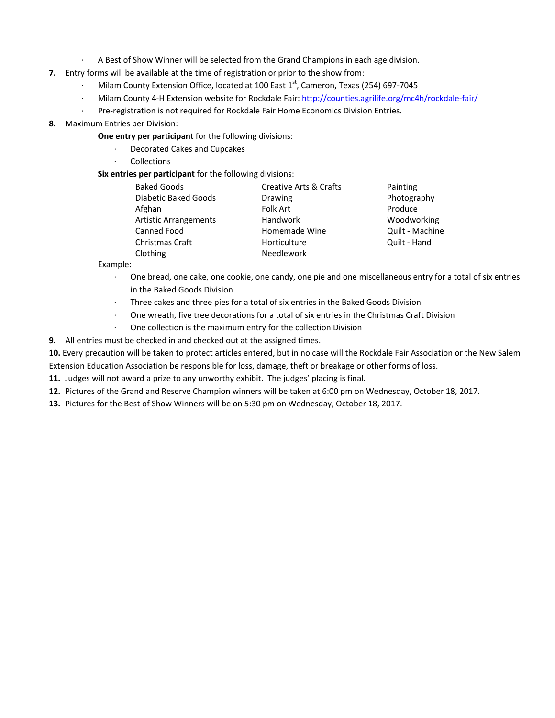- ∙ A Best of Show Winner will be selected from the Grand Champions in each age division.
- **7.** Entry forms will be available at the time of registration or prior to the show from:
	- Milam County Extension Office, located at 100 East 1<sup>st</sup>, Cameron, Texas (254) 697-7045
	- ∙ Milam County 4‐H Extension website for Rockdale Fair: http://counties.agrilife.org/mc4h/rockdale‐fair/
	- ∙ Pre‐registration is not required for Rockdale Fair Home Economics Division Entries.
- **8.** Maximum Entries per Division:
	- **One entry per participant** for the following divisions:
		- ∙ Decorated Cakes and Cupcakes
		- ∙ Collections
	- **Six entries per participant** for the following divisions:

| <b>Creative Arts &amp; Crafts</b> | Painting        |
|-----------------------------------|-----------------|
| Drawing                           | Photography     |
| Folk Art                          | Produce         |
| <b>Handwork</b>                   | Woodworking     |
| Homemade Wine                     | Quilt - Machine |
| Horticulture                      | Quilt - Hand    |
| Needlework                        |                 |
|                                   |                 |

Example:

- ∙ One bread, one cake, one cookie, one candy, one pie and one miscellaneous entry for a total of six entries in the Baked Goods Division.
- ∙ Three cakes and three pies for a total of six entries in the Baked Goods Division
- ∙ One wreath, five tree decorations for a total of six entries in the Christmas Craft Division
- ∙ One collection is the maximum entry for the collection Division
- **9.** All entries must be checked in and checked out at the assigned times.

**10.** Every precaution will be taken to protect articles entered, but in no case will the Rockdale Fair Association or the New Salem Extension Education Association be responsible for loss, damage, theft or breakage or other forms of loss.

- **11.** Judges will not award a prize to any unworthy exhibit. The judges' placing is final.
- **12.** Pictures of the Grand and Reserve Champion winners will be taken at 6:00 pm on Wednesday, October 18, 2017.
- **13.** Pictures for the Best of Show Winners will be on 5:30 pm on Wednesday, October 18, 2017.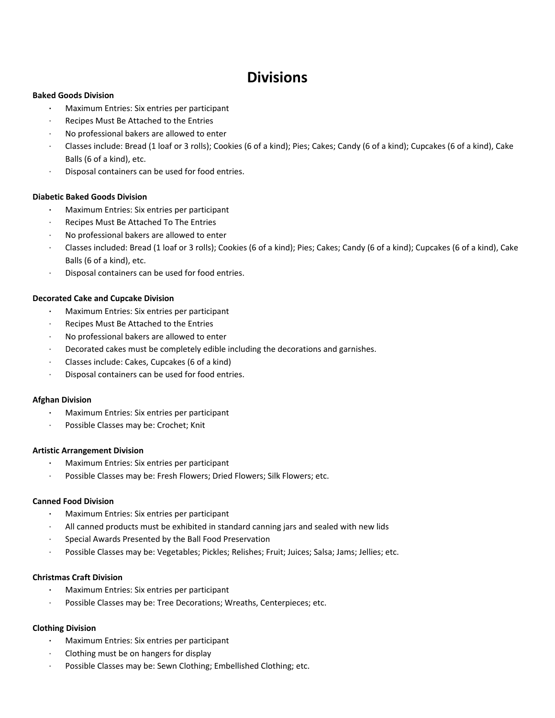# **Divisions**

#### **Baked Goods Division**

- **∙**  Maximum Entries: Six entries per participant
- ∙ Recipes Must Be Attached to the Entries
- ∙ No professional bakers are allowed to enter
- ∙ Classes include: Bread (1 loaf or 3 rolls); Cookies (6 of a kind); Pies; Cakes; Candy (6 of a kind); Cupcakes (6 of a kind), Cake Balls (6 of a kind), etc.
- ∙ Disposal containers can be used for food entries.

# **Diabetic Baked Goods Division**

- **∙**  Maximum Entries: Six entries per participant
- ∙ Recipes Must Be Attached To The Entries
- ∙ No professional bakers are allowed to enter
- ∙ Classes included: Bread (1 loaf or 3 rolls); Cookies (6 of a kind); Pies; Cakes; Candy (6 of a kind); Cupcakes (6 of a kind), Cake Balls (6 of a kind), etc.
- ∙ Disposal containers can be used for food entries.

# **Decorated Cake and Cupcake Division**

- **∙**  Maximum Entries: Six entries per participant
- ∙ Recipes Must Be Attached to the Entries
- ∙ No professional bakers are allowed to enter
- ∙ Decorated cakes must be completely edible including the decorations and garnishes.
- ∙ Classes include: Cakes, Cupcakes (6 of a kind)
- ∙ Disposal containers can be used for food entries.

# **Afghan Division**

- **∙**  Maximum Entries: Six entries per participant
- ∙ Possible Classes may be: Crochet; Knit

#### **Artistic Arrangement Division**

- **∙**  Maximum Entries: Six entries per participant
- ∙ Possible Classes may be: Fresh Flowers; Dried Flowers; Silk Flowers; etc.

# **Canned Food Division**

- **∙**  Maximum Entries: Six entries per participant
- ∙ All canned products must be exhibited in standard canning jars and sealed with new lids
- ∙ Special Awards Presented by the Ball Food Preservation
- ∙ Possible Classes may be: Vegetables; Pickles; Relishes; Fruit; Juices; Salsa; Jams; Jellies; etc.

# **Christmas Craft Division**

- **∙**  Maximum Entries: Six entries per participant
- ∙ Possible Classes may be: Tree Decorations; Wreaths, Centerpieces; etc.

# **Clothing Division**

- **∙**  Maximum Entries: Six entries per participant
- ∙ Clothing must be on hangers for display
- ∙ Possible Classes may be: Sewn Clothing; Embellished Clothing; etc.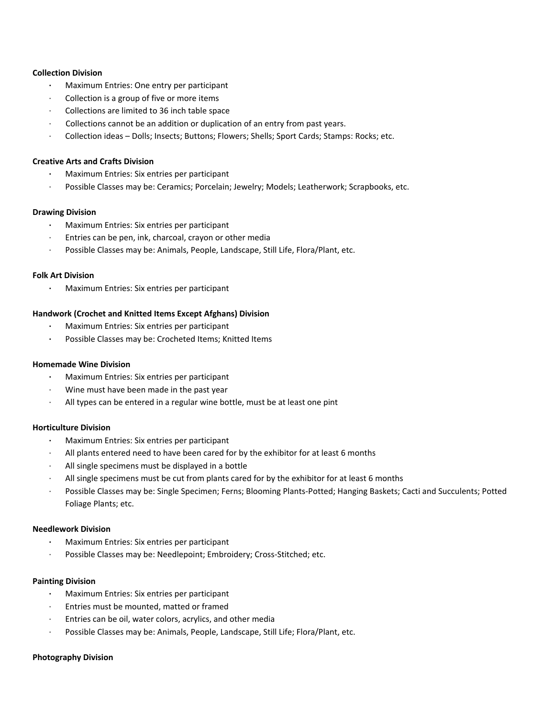#### **Collection Division**

- **∙**  Maximum Entries: One entry per participant
- ∙ Collection is a group of five or more items
- ∙ Collections are limited to 36 inch table space
- ∙ Collections cannot be an addition or duplication of an entry from past years.
- ∙ Collection ideas Dolls; Insects; Buttons; Flowers; Shells; Sport Cards; Stamps: Rocks; etc.

#### **Creative Arts and Crafts Division**

- **∙**  Maximum Entries: Six entries per participant
- ∙ Possible Classes may be: Ceramics; Porcelain; Jewelry; Models; Leatherwork; Scrapbooks, etc.

#### **Drawing Division**

- **∙**  Maximum Entries: Six entries per participant
- ∙ Entries can be pen, ink, charcoal, crayon or other media
- ∙ Possible Classes may be: Animals, People, Landscape, Still Life, Flora/Plant, etc.

#### **Folk Art Division**

**∙**  Maximum Entries: Six entries per participant

#### **Handwork (Crochet and Knitted Items Except Afghans) Division**

- **∙**  Maximum Entries: Six entries per participant
- **∙** Possible Classes may be: Crocheted Items; Knitted Items

#### **Homemade Wine Division**

- **∙**  Maximum Entries: Six entries per participant
- ∙ Wine must have been made in the past year
- ∙ All types can be entered in a regular wine bottle, must be at least one pint

#### **Horticulture Division**

- **∙**  Maximum Entries: Six entries per participant
- ∙ All plants entered need to have been cared for by the exhibitor for at least 6 months
- ∙ All single specimens must be displayed in a bottle
- ∙ All single specimens must be cut from plants cared for by the exhibitor for at least 6 months
- ∙ Possible Classes may be: Single Specimen; Ferns; Blooming Plants‐Potted; Hanging Baskets; Cacti and Succulents; Potted Foliage Plants; etc.

#### **Needlework Division**

- **∙**  Maximum Entries: Six entries per participant
- ∙ Possible Classes may be: Needlepoint; Embroidery; Cross‐Stitched; etc.

#### **Painting Division**

- **∙**  Maximum Entries: Six entries per participant
- ∙ Entries must be mounted, matted or framed
- ∙ Entries can be oil, water colors, acrylics, and other media
- ∙ Possible Classes may be: Animals, People, Landscape, Still Life; Flora/Plant, etc.

#### **Photography Division**